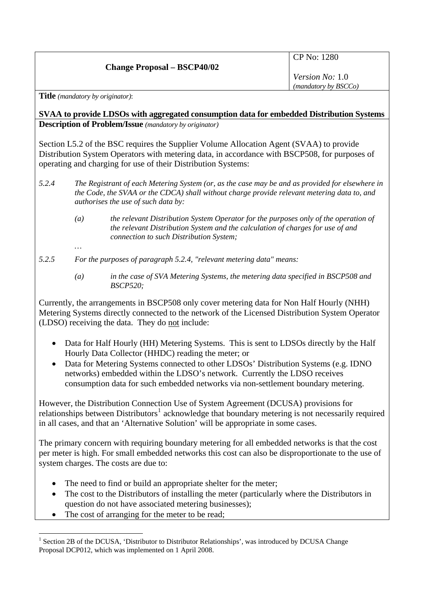## **Change Proposal – BSCP40/02**

CP No: 1280

*Version No:* 1.0 *(mandatory by BSCCo)*

**Title** *(mandatory by originator)*:

*…* 

**SVAA to provide LDSOs with aggregated consumption data for embedded Distribution Systems Description of Problem/Issue** *(mandatory by originator)* 

Section L5.2 of the BSC requires the Supplier Volume Allocation Agent (SVAA) to provide Distribution System Operators with metering data, in accordance with BSCP508, for purposes of operating and charging for use of their Distribution Systems:

- *5.2.4 The Registrant of each Metering System (or, as the case may be and as provided for elsewhere in the Code, the SVAA or the CDCA) shall without charge provide relevant metering data to, and authorises the use of such data by:* 
	- *(a) the relevant Distribution System Operator for the purposes only of the operation of the relevant Distribution System and the calculation of charges for use of and connection to such Distribution System;*
- *5.2.5 For the purposes of paragraph 5.2.4, "relevant metering data" means:* 
	- *(a) in the case of SVA Metering Systems, the metering data specified in BSCP508 and BSCP520;*

Currently, the arrangements in BSCP508 only cover metering data for Non Half Hourly (NHH) Metering Systems directly connected to the network of the Licensed Distribution System Operator (LDSO) receiving the data. They do not include:

- Data for Half Hourly (HH) Metering Systems. This is sent to LDSOs directly by the Half Hourly Data Collector (HHDC) reading the meter; or
- Data for Metering Systems connected to other LDSOs' Distribution Systems (e.g. IDNO networks) embedded within the LDSO's network. Currently the LDSO receives consumption data for such embedded networks via non-settlement boundary metering.

However, the Distribution Connection Use of System Agreement (DCUSA) provisions for relationships between Distributors<sup>[1](#page-0-0)</sup> acknowledge that boundary metering is not necessarily required in all cases, and that an 'Alternative Solution' will be appropriate in some cases.

The primary concern with requiring boundary metering for all embedded networks is that the cost per meter is high. For small embedded networks this cost can also be disproportionate to the use of system charges. The costs are due to:

- The need to find or build an appropriate shelter for the meter;
- The cost to the Distributors of installing the meter (particularly where the Distributors in question do not have associated metering businesses);
- The cost of arranging for the meter to be read;

<span id="page-0-0"></span> $\overline{a}$ <sup>1</sup> Section 2B of the DCUSA, 'Distributor to Distributor Relationships', was introduced by DCUSA Change Proposal DCP012, which was implemented on 1 April 2008.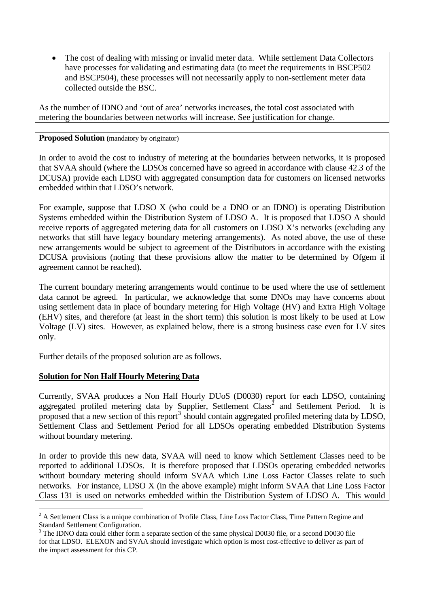• The cost of dealing with missing or invalid meter data. While settlement Data Collectors have processes for validating and estimating data (to meet the requirements in BSCP502 and BSCP504), these processes will not necessarily apply to non-settlement meter data collected outside the BSC.

As the number of IDNO and 'out of area' networks increases, the total cost associated with metering the boundaries between networks will increase. See justification for change.

#### **Proposed Solution** (mandatory by originator)

In order to avoid the cost to industry of metering at the boundaries between networks, it is proposed that SVAA should (where the LDSOs concerned have so agreed in accordance with clause 42.3 of the DCUSA) provide each LDSO with aggregated consumption data for customers on licensed networks embedded within that LDSO's network.

For example, suppose that LDSO X (who could be a DNO or an IDNO) is operating Distribution Systems embedded within the Distribution System of LDSO A. It is proposed that LDSO A should receive reports of aggregated metering data for all customers on LDSO X's networks (excluding any networks that still have legacy boundary metering arrangements). As noted above, the use of these new arrangements would be subject to agreement of the Distributors in accordance with the existing DCUSA provisions (noting that these provisions allow the matter to be determined by Ofgem if agreement cannot be reached).

The current boundary metering arrangements would continue to be used where the use of settlement data cannot be agreed. In particular, we acknowledge that some DNOs may have concerns about using settlement data in place of boundary metering for High Voltage (HV) and Extra High Voltage (EHV) sites, and therefore (at least in the short term) this solution is most likely to be used at Low Voltage (LV) sites. However, as explained below, there is a strong business case even for LV sites only.

Further details of the proposed solution are as follows.

# **Solution for Non Half Hourly Metering Data**

 $\overline{a}$ 

Currently, SVAA produces a Non Half Hourly DUoS (D0030) report for each LDSO, containing aggregated profiled metering data by Supplier, Settlement Class<sup>[2](#page-1-0)</sup> and Settlement Period. It is proposed that a new section of this report<sup>[3](#page-1-1)</sup> should contain aggregated profiled metering data by LDSO, Settlement Class and Settlement Period for all LDSOs operating embedded Distribution Systems without boundary metering.

In order to provide this new data, SVAA will need to know which Settlement Classes need to be reported to additional LDSOs. It is therefore proposed that LDSOs operating embedded networks without boundary metering should inform SVAA which Line Loss Factor Classes relate to such networks. For instance, LDSO X (in the above example) might inform SVAA that Line Loss Factor Class 131 is used on networks embedded within the Distribution System of LDSO A. This would

<span id="page-1-0"></span> $2^2$  A Settlement Class is a unique combination of Profile Class, Line Loss Factor Class, Time Pattern Regime and Standard Settlement Configuration.

<span id="page-1-1"></span><sup>&</sup>lt;sup>3</sup> The IDNO data could either form a separate section of the same physical D0030 file, or a second D0030 file for that LDSO. ELEXON and SVAA should investigate which option is most cost-effective to deliver as part of the impact assessment for this CP.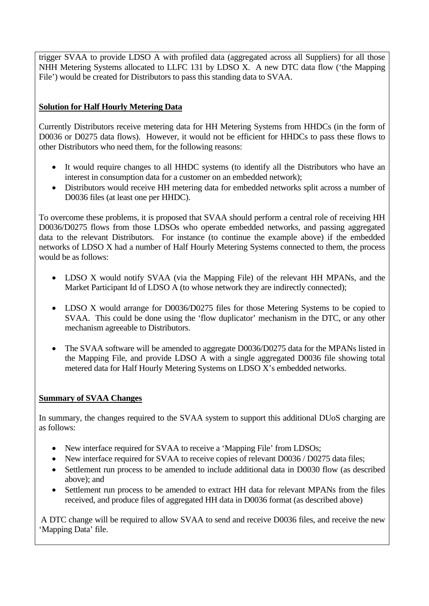trigger SVAA to provide LDSO A with profiled data (aggregated across all Suppliers) for all those NHH Metering Systems allocated to LLFC 131 by LDSO X. A new DTC data flow ('the Mapping File') would be created for Distributors to pass this standing data to SVAA.

# **Solution for Half Hourly Metering Data**

Currently Distributors receive metering data for HH Metering Systems from HHDCs (in the form of D0036 or D0275 data flows). However, it would not be efficient for HHDCs to pass these flows to other Distributors who need them, for the following reasons:

- It would require changes to all HHDC systems (to identify all the Distributors who have an interest in consumption data for a customer on an embedded network);
- Distributors would receive HH metering data for embedded networks split across a number of D0036 files (at least one per HHDC).

To overcome these problems, it is proposed that SVAA should perform a central role of receiving HH D0036/D0275 flows from those LDSOs who operate embedded networks, and passing aggregated data to the relevant Distributors. For instance (to continue the example above) if the embedded networks of LDSO X had a number of Half Hourly Metering Systems connected to them, the process would be as follows:

- LDSO X would notify SVAA (via the Mapping File) of the relevant HH MPANs, and the Market Participant Id of LDSO A (to whose network they are indirectly connected);
- LDSO X would arrange for D0036/D0275 files for those Metering Systems to be copied to SVAA. This could be done using the 'flow duplicator' mechanism in the DTC, or any other mechanism agreeable to Distributors.
- The SVAA software will be amended to aggregate D0036/D0275 data for the MPANs listed in the Mapping File, and provide LDSO A with a single aggregated D0036 file showing total metered data for Half Hourly Metering Systems on LDSO X's embedded networks.

### **Summary of SVAA Changes**

In summary, the changes required to the SVAA system to support this additional DUoS charging are as follows:

- New interface required for SVAA to receive a 'Mapping File' from LDSOs;
- New interface required for SVAA to receive copies of relevant D0036 / D0275 data files;
- Settlement run process to be amended to include additional data in D0030 flow (as described above); and
- Settlement run process to be amended to extract HH data for relevant MPANs from the files received, and produce files of aggregated HH data in D0036 format (as described above)

 A DTC change will be required to allow SVAA to send and receive D0036 files, and receive the new 'Mapping Data' file.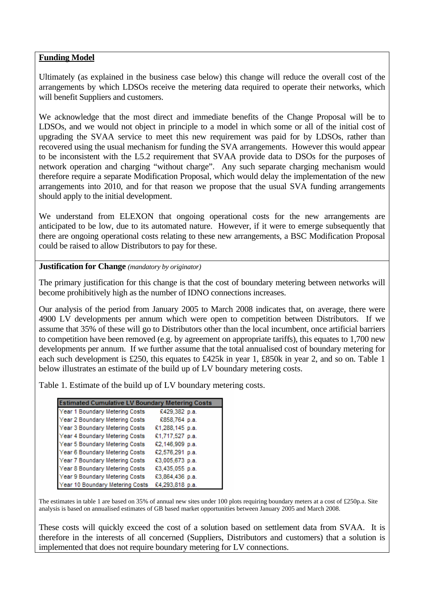#### **Funding Model**

Ultimately (as explained in the business case below) this change will reduce the overall cost of the arrangements by which LDSOs receive the metering data required to operate their networks, which will benefit Suppliers and customers.

We acknowledge that the most direct and immediate benefits of the Change Proposal will be to LDSOs, and we would not object in principle to a model in which some or all of the initial cost of upgrading the SVAA service to meet this new requirement was paid for by LDSOs, rather than recovered using the usual mechanism for funding the SVA arrangements. However this would appear to be inconsistent with the L5.2 requirement that SVAA provide data to DSOs for the purposes of network operation and charging "without charge". Any such separate charging mechanism would therefore require a separate Modification Proposal, which would delay the implementation of the new arrangements into 2010, and for that reason we propose that the usual SVA funding arrangements should apply to the initial development.

We understand from ELEXON that ongoing operational costs for the new arrangements are anticipated to be low, due to its automated nature. However, if it were to emerge subsequently that there are ongoing operational costs relating to these new arrangements, a BSC Modification Proposal could be raised to allow Distributors to pay for these.

#### **Justification for Change** *(mandatory by originator)*

The primary justification for this change is that the cost of boundary metering between networks will become prohibitively high as the number of IDNO connections increases.

Our analysis of the period from January 2005 to March 2008 indicates that, on average, there were 4900 LV developments per annum which were open to competition between Distributors. If we assume that 35% of these will go to Distributors other than the local incumbent, once artificial barriers to competition have been removed (e.g. by agreement on appropriate tariffs), this equates to 1,700 new developments per annum. If we further assume that the total annualised cost of boundary metering for each such development is £250, this equates to £425k in year 1, £850k in year 2, and so on. Table 1 below illustrates an estimate of the build up of LV boundary metering costs.

Table 1. Estimate of the build up of LV boundary metering costs.

| <b>Estimated Cumulative LV Boundary Metering Costs</b> |                 |
|--------------------------------------------------------|-----------------|
| Year 1 Boundary Metering Costs                         | £429,382 p.a.   |
| Year 2 Boundary Metering Costs                         | £858,764 p.a.   |
| Year 3 Boundary Metering Costs                         | £1,288,145 p.a. |
| Year 4 Boundary Metering Costs                         | £1,717,527 p.a. |
| Year 5 Boundary Metering Costs                         | £2,146,909 p.a. |
| Year 6 Boundary Metering Costs                         | £2,576,291 p.a. |
| Year 7 Boundary Metering Costs                         | £3,005,673 p.a. |
| Year 8 Boundary Metering Costs                         | £3,435,055 p.a. |
| Year 9 Boundary Metering Costs                         | £3,864,436 p.a. |
| Year 10 Boundary Metering Costs                        | £4,293,818 p.a. |

The estimates in table 1 are based on 35% of annual new sites under 100 plots requiring boundary meters at a cost of £250p.a. Site analysis is based on annualised estimates of GB based market opportunities between January 2005 and March 2008.

These costs will quickly exceed the cost of a solution based on settlement data from SVAA. It is therefore in the interests of all concerned (Suppliers, Distributors and customers) that a solution is implemented that does not require boundary metering for LV connections.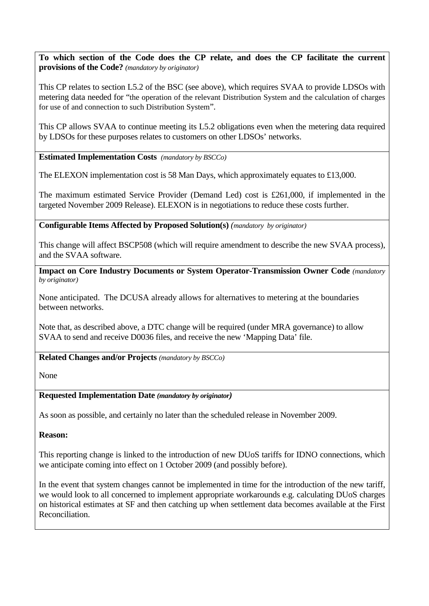**To which section of the Code does the CP relate, and does the CP facilitate the current provisions of the Code?** *(mandatory by originator)* 

This CP relates to section L5.2 of the BSC (see above), which requires SVAA to provide LDSOs with metering data needed for "the operation of the relevant Distribution System and the calculation of charges for use of and connection to such Distribution System".

This CP allows SVAA to continue meeting its L5.2 obligations even when the metering data required by LDSOs for these purposes relates to customers on other LDSOs' networks.

**Estimated Implementation Costs** *(mandatory by BSCCo)* 

The ELEXON implementation cost is 58 Man Days, which approximately equates to £13,000.

The maximum estimated Service Provider (Demand Led) cost is £261,000, if implemented in the targeted November 2009 Release). ELEXON is in negotiations to reduce these costs further.

**Configurable Items Affected by Proposed Solution(s)** *(mandatory by originator)* 

This change will affect BSCP508 (which will require amendment to describe the new SVAA process), and the SVAA software.

**Impact on Core Industry Documents or System Operator-Transmission Owner Code** *(mandatory by originator)* 

None anticipated. The DCUSA already allows for alternatives to metering at the boundaries between networks.

Note that, as described above, a DTC change will be required (under MRA governance) to allow SVAA to send and receive D0036 files, and receive the new 'Mapping Data' file.

**Related Changes and/or Projects** *(mandatory by BSCCo)* 

None

### **Requested Implementation Date** *(mandatory by originator)*

As soon as possible, and certainly no later than the scheduled release in November 2009.

**Reason:** 

This reporting change is linked to the introduction of new DUoS tariffs for IDNO connections, which we anticipate coming into effect on 1 October 2009 (and possibly before).

In the event that system changes cannot be implemented in time for the introduction of the new tariff, we would look to all concerned to implement appropriate workarounds e.g. calculating DUoS charges on historical estimates at SF and then catching up when settlement data becomes available at the First Reconciliation.